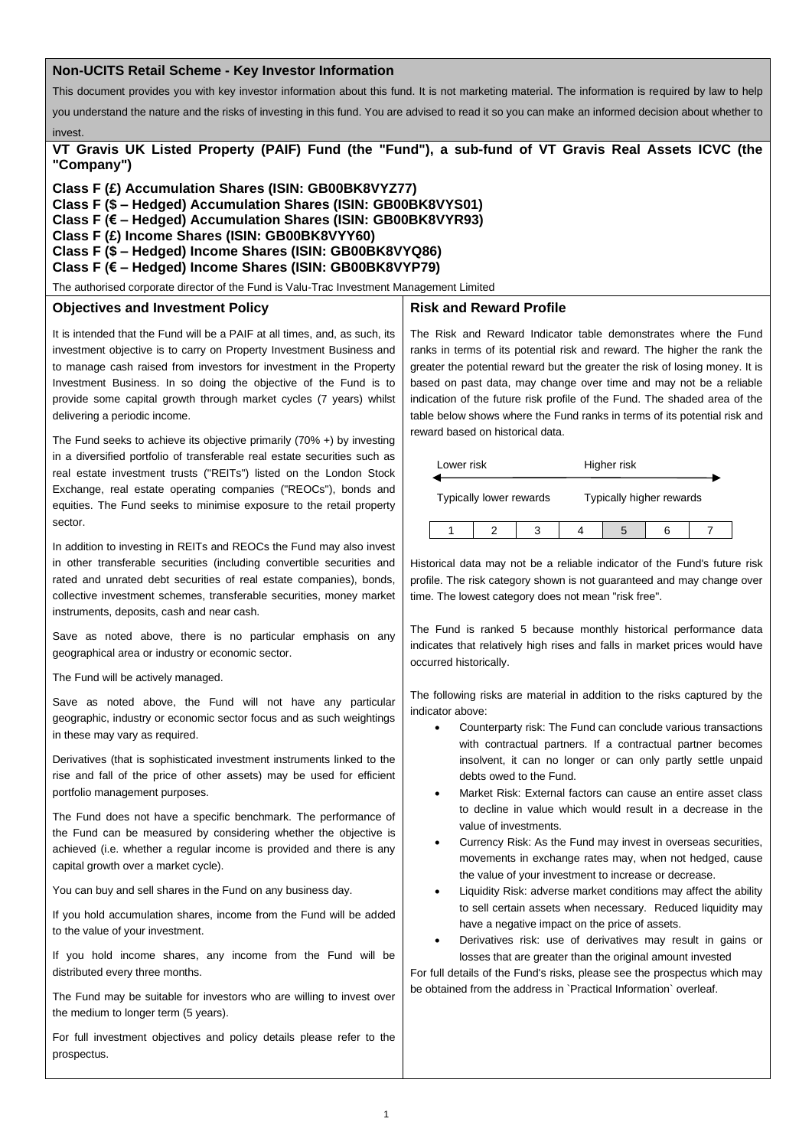### **Non-UCITS Retail Scheme - Key Investor Information**

This document provides you with key investor information about this fund. It is not marketing material. The information is required by law to help

you understand the nature and the risks of investing in this fund. You are advised to read it so you can make an informed decision about whether to

**VT Gravis UK Listed Property (PAIF) Fund (the "Fund"), a sub-fund of VT Gravis Real Assets ICVC (the "Company")**

**Class F (£) Accumulation Shares (ISIN: GB00BK8VYZ77)**

**Class F (\$ – Hedged) Accumulation Shares (ISIN: GB00BK8VYS01)**

**Class F (€ – Hedged) Accumulation Shares (ISIN: GB00BK8VYR93)**

**Class F (£) Income Shares (ISIN: GB00BK8VYY60)**

**Class F (\$ – Hedged) Income Shares (ISIN: GB00BK8VYQ86)**

**Class F (€ – Hedged) Income Shares (ISIN: GB00BK8VYP79)**

The authorised corporate director of the Fund is Valu-Trac Investment Management Limited

#### **Objectives and Investment Policy**

invest.

It is intended that the Fund will be a PAIF at all times, and, as such, its investment objective is to carry on Property Investment Business and to manage cash raised from investors for investment in the Property Investment Business. In so doing the objective of the Fund is to provide some capital growth through market cycles (7 years) whilst delivering a periodic income.

The Fund seeks to achieve its objective primarily (70% +) by investing in a diversified portfolio of transferable real estate securities such as real estate investment trusts ("REITs") listed on the London Stock Exchange, real estate operating companies ("REOCs"), bonds and equities. The Fund seeks to minimise exposure to the retail property sector.

In addition to investing in REITs and REOCs the Fund may also invest in other transferable securities (including convertible securities and rated and unrated debt securities of real estate companies), bonds, collective investment schemes, transferable securities, money market instruments, deposits, cash and near cash.

Save as noted above, there is no particular emphasis on any geographical area or industry or economic sector.

The Fund will be actively managed.

Save as noted above, the Fund will not have any particular geographic, industry or economic sector focus and as such weightings in these may vary as required.

Derivatives (that is sophisticated investment instruments linked to the rise and fall of the price of other assets) may be used for efficient portfolio management purposes.

The Fund does not have a specific benchmark. The performance of the Fund can be measured by considering whether the objective is achieved (i.e. whether a regular income is provided and there is any capital growth over a market cycle).

You can buy and sell shares in the Fund on any business day.

If you hold accumulation shares, income from the Fund will be added to the value of your investment.

If you hold income shares, any income from the Fund will be distributed every three months.

The Fund may be suitable for investors who are willing to invest over the medium to longer term (5 years).

For full investment objectives and policy details please refer to the prospectus.

#### **Risk and Reward Profile**

The Risk and Reward Indicator table demonstrates where the Fund ranks in terms of its potential risk and reward. The higher the rank the greater the potential reward but the greater the risk of losing money. It is based on past data, may change over time and may not be a reliable indication of the future risk profile of the Fund. The shaded area of the table below shows where the Fund ranks in terms of its potential risk and reward based on historical data.

| Lower risk              |  |  | Higher risk              |  |  |  |
|-------------------------|--|--|--------------------------|--|--|--|
| Typically lower rewards |  |  | Typically higher rewards |  |  |  |
|                         |  |  |                          |  |  |  |

Historical data may not be a reliable indicator of the Fund's future risk profile. The risk category shown is not guaranteed and may change over time. The lowest category does not mean "risk free".

The Fund is ranked 5 because monthly historical performance data indicates that relatively high rises and falls in market prices would have occurred historically.

The following risks are material in addition to the risks captured by the indicator above:

- Counterparty risk: The Fund can conclude various transactions with contractual partners. If a contractual partner becomes insolvent, it can no longer or can only partly settle unpaid debts owed to the Fund.
- Market Risk: External factors can cause an entire asset class to decline in value which would result in a decrease in the value of investments.
- Currency Risk: As the Fund may invest in overseas securities, movements in exchange rates may, when not hedged, cause the value of your investment to increase or decrease.
- Liquidity Risk: adverse market conditions may affect the ability to sell certain assets when necessary. Reduced liquidity may have a negative impact on the price of assets.
- Derivatives risk: use of derivatives may result in gains or losses that are greater than the original amount invested

For full details of the Fund's risks, please see the prospectus which may be obtained from the address in `Practical Information` overleaf.